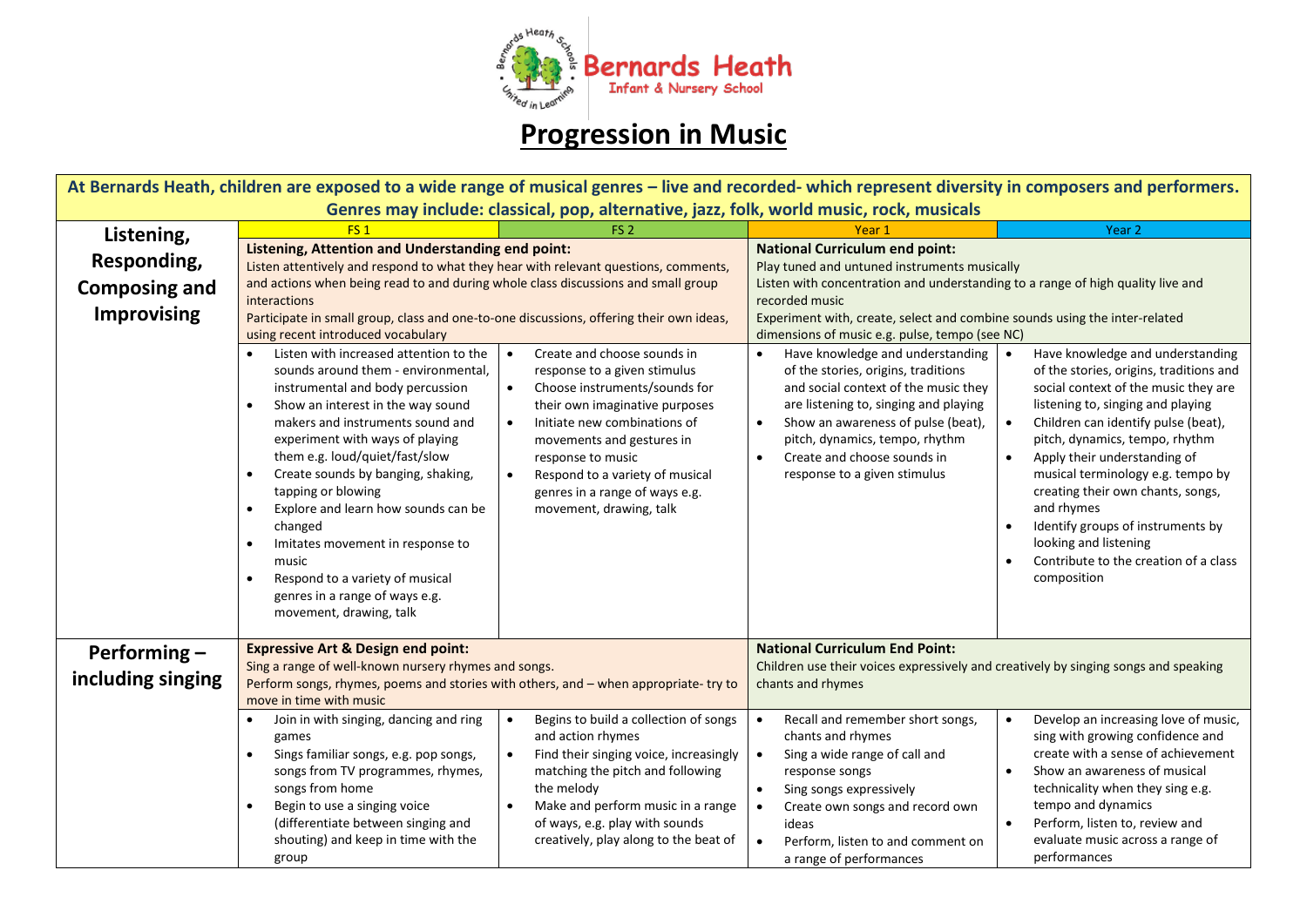

## **Progression in Music**

| At Bernards Heath, children are exposed to a wide range of musical genres – live and recorded- which represent diversity in composers and performers. |                                                                                                                                                                                                                                                                                                                                                                                                                                                                                                                                                          |                                                                                                                                                                                                                                                                                                               |                                                                                                                                                                                                                                                                                                                                                                                                                                                                                                   |                                                                                                                                                                                                                                                                                                                                                                                                                            |  |  |  |
|-------------------------------------------------------------------------------------------------------------------------------------------------------|----------------------------------------------------------------------------------------------------------------------------------------------------------------------------------------------------------------------------------------------------------------------------------------------------------------------------------------------------------------------------------------------------------------------------------------------------------------------------------------------------------------------------------------------------------|---------------------------------------------------------------------------------------------------------------------------------------------------------------------------------------------------------------------------------------------------------------------------------------------------------------|---------------------------------------------------------------------------------------------------------------------------------------------------------------------------------------------------------------------------------------------------------------------------------------------------------------------------------------------------------------------------------------------------------------------------------------------------------------------------------------------------|----------------------------------------------------------------------------------------------------------------------------------------------------------------------------------------------------------------------------------------------------------------------------------------------------------------------------------------------------------------------------------------------------------------------------|--|--|--|
| Genres may include: classical, pop, alternative, jazz, folk, world music, rock, musicals                                                              |                                                                                                                                                                                                                                                                                                                                                                                                                                                                                                                                                          |                                                                                                                                                                                                                                                                                                               |                                                                                                                                                                                                                                                                                                                                                                                                                                                                                                   |                                                                                                                                                                                                                                                                                                                                                                                                                            |  |  |  |
| Listening,                                                                                                                                            | FS <sub>1</sub>                                                                                                                                                                                                                                                                                                                                                                                                                                                                                                                                          | FS <sub>2</sub>                                                                                                                                                                                                                                                                                               | Year 1                                                                                                                                                                                                                                                                                                                                                                                                                                                                                            | Year <sub>2</sub>                                                                                                                                                                                                                                                                                                                                                                                                          |  |  |  |
| Responding,<br><b>Composing and</b><br><b>Improvising</b>                                                                                             | Listening, Attention and Understanding end point:<br>Listen attentively and respond to what they hear with relevant questions, comments,<br>and actions when being read to and during whole class discussions and small group<br>interactions<br>Participate in small group, class and one-to-one discussions, offering their own ideas,<br>using recent introduced vocabulary<br>Create and choose sounds in<br>Listen with increased attention to the<br>$\bullet$<br>$\bullet$<br>sounds around them - environmental,<br>response to a given stimulus |                                                                                                                                                                                                                                                                                                               | <b>National Curriculum end point:</b><br>Play tuned and untuned instruments musically<br>Listen with concentration and understanding to a range of high quality live and<br>recorded music<br>Experiment with, create, select and combine sounds using the inter-related<br>dimensions of music e.g. pulse, tempo (see NC)<br>Have knowledge and understanding<br>Have knowledge and understanding<br>$\bullet$<br>of the stories, origins, traditions<br>of the stories, origins, traditions and |                                                                                                                                                                                                                                                                                                                                                                                                                            |  |  |  |
|                                                                                                                                                       | instrumental and body percussion<br>Show an interest in the way sound<br>makers and instruments sound and<br>experiment with ways of playing<br>them e.g. loud/quiet/fast/slow<br>Create sounds by banging, shaking,<br>tapping or blowing<br>Explore and learn how sounds can be<br>changed<br>Imitates movement in response to<br>music<br>Respond to a variety of musical<br>genres in a range of ways e.g.<br>movement, drawing, talk                                                                                                                | Choose instruments/sounds for<br>$\bullet$<br>their own imaginative purposes<br>Initiate new combinations of<br>$\bullet$<br>movements and gestures in<br>response to music<br>Respond to a variety of musical<br>$\bullet$<br>genres in a range of ways e.g.<br>movement, drawing, talk                      | and social context of the music they<br>are listening to, singing and playing<br>Show an awareness of pulse (beat),<br>$\bullet$<br>pitch, dynamics, tempo, rhythm<br>Create and choose sounds in<br>$\bullet$<br>response to a given stimulus                                                                                                                                                                                                                                                    | social context of the music they are<br>listening to, singing and playing<br>Children can identify pulse (beat),<br>$\bullet$<br>pitch, dynamics, tempo, rhythm<br>Apply their understanding of<br>$\bullet$<br>musical terminology e.g. tempo by<br>creating their own chants, songs,<br>and rhymes<br>Identify groups of instruments by<br>looking and listening<br>Contribute to the creation of a class<br>composition |  |  |  |
| Performing-                                                                                                                                           | <b>Expressive Art &amp; Design end point:</b>                                                                                                                                                                                                                                                                                                                                                                                                                                                                                                            |                                                                                                                                                                                                                                                                                                               | <b>National Curriculum End Point:</b>                                                                                                                                                                                                                                                                                                                                                                                                                                                             |                                                                                                                                                                                                                                                                                                                                                                                                                            |  |  |  |
| including singing                                                                                                                                     | Sing a range of well-known nursery rhymes and songs.<br>Perform songs, rhymes, poems and stories with others, and - when appropriate-try to<br>move in time with music                                                                                                                                                                                                                                                                                                                                                                                   |                                                                                                                                                                                                                                                                                                               | Children use their voices expressively and creatively by singing songs and speaking<br>chants and rhymes                                                                                                                                                                                                                                                                                                                                                                                          |                                                                                                                                                                                                                                                                                                                                                                                                                            |  |  |  |
|                                                                                                                                                       | Join in with singing, dancing and ring<br>games<br>Sings familiar songs, e.g. pop songs,<br>$\bullet$<br>songs from TV programmes, rhymes,<br>songs from home<br>Begin to use a singing voice<br>$\bullet$<br>(differentiate between singing and<br>shouting) and keep in time with the<br>group                                                                                                                                                                                                                                                         | Begins to build a collection of songs<br>$\bullet$<br>and action rhymes<br>Find their singing voice, increasingly<br>$\bullet$<br>matching the pitch and following<br>the melody<br>Make and perform music in a range<br>$\bullet$<br>of ways, e.g. play with sounds<br>creatively, play along to the beat of | $\bullet$<br>Recall and remember short songs,<br>chants and rhymes<br>Sing a wide range of call and<br>$\bullet$<br>response songs<br>$\bullet$<br>Sing songs expressively<br>Create own songs and record own<br>$\bullet$<br>ideas<br>Perform, listen to and comment on<br>$\bullet$<br>a range of performances                                                                                                                                                                                  | Develop an increasing love of music,<br>sing with growing confidence and<br>create with a sense of achievement<br>Show an awareness of musical<br>technicality when they sing e.g.<br>tempo and dynamics<br>Perform, listen to, review and<br>$\bullet$<br>evaluate music across a range of<br>performances                                                                                                                |  |  |  |